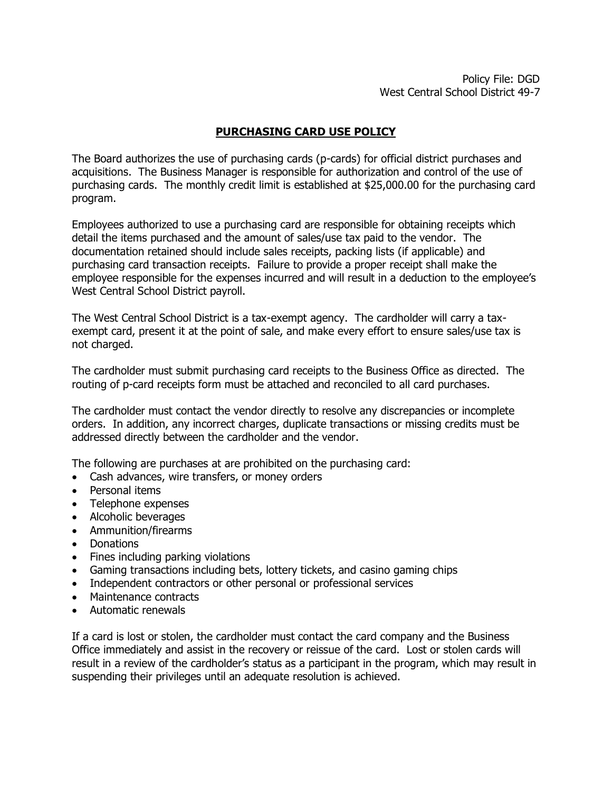## **PURCHASING CARD USE POLICY**

The Board authorizes the use of purchasing cards (p-cards) for official district purchases and acquisitions. The Business Manager is responsible for authorization and control of the use of purchasing cards. The monthly credit limit is established at \$25,000.00 for the purchasing card program.

Employees authorized to use a purchasing card are responsible for obtaining receipts which detail the items purchased and the amount of sales/use tax paid to the vendor. The documentation retained should include sales receipts, packing lists (if applicable) and purchasing card transaction receipts. Failure to provide a proper receipt shall make the employee responsible for the expenses incurred and will result in a deduction to the employee's West Central School District payroll.

The West Central School District is a tax-exempt agency. The cardholder will carry a taxexempt card, present it at the point of sale, and make every effort to ensure sales/use tax is not charged.

The cardholder must submit purchasing card receipts to the Business Office as directed. The routing of p-card receipts form must be attached and reconciled to all card purchases.

The cardholder must contact the vendor directly to resolve any discrepancies or incomplete orders. In addition, any incorrect charges, duplicate transactions or missing credits must be addressed directly between the cardholder and the vendor.

The following are purchases at are prohibited on the purchasing card:

- Cash advances, wire transfers, or money orders
- Personal items
- Telephone expenses
- Alcoholic beverages
- Ammunition/firearms
- Donations
- Fines including parking violations
- Gaming transactions including bets, lottery tickets, and casino gaming chips
- Independent contractors or other personal or professional services
- Maintenance contracts
- Automatic renewals

If a card is lost or stolen, the cardholder must contact the card company and the Business Office immediately and assist in the recovery or reissue of the card. Lost or stolen cards will result in a review of the cardholder's status as a participant in the program, which may result in suspending their privileges until an adequate resolution is achieved.